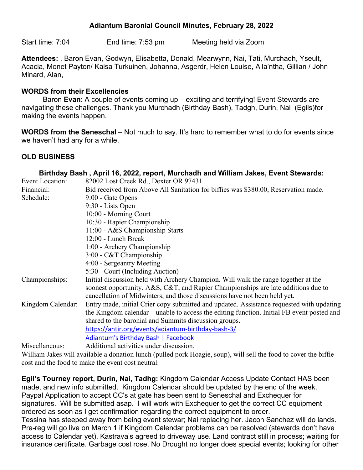# **Adiantum Baronial Council Minutes, February 28, 2022**

Start time: 7:04 End time: 7:53 pm Meeting held via Zoom

**Attendees:** , Baron Evan, Godwyn**,** Elisabetta, Donald, Mearwynn, Nai, Tati, Murchadh, Yseult, Acacia, Monet Payton/ Kaisa Turkuinen, Johanna, Asgerdr, Helen Louise, Aila'ntha, Gillian / John Minard, Alan,

### **WORDS from their Excellencies**

Baron **Evan**: A couple of events coming up – exciting and terrifying! Event Stewards are navigating these challenges. Thank you Murchadh (Birthday Bash), Tadgh, Durin, Nai (Egils)for making the events happen.

**WORDS from the Seneschal** – Not much to say. It's hard to remember what to do for events since we haven't had any for a while.

## **OLD BUSINESS**

|                        | Birthday Bash, April 16, 2022, report, Murchadh and William Jakes, Event Stewards:        |  |  |  |  |  |  |  |
|------------------------|-------------------------------------------------------------------------------------------|--|--|--|--|--|--|--|
| <b>Event Location:</b> | 82002 Lost Creek Rd., Dexter OR 97431                                                     |  |  |  |  |  |  |  |
| Financial:             | Bid received from Above All Sanitation for biffies was \$380.00, Reservation made.        |  |  |  |  |  |  |  |
| Schedule:              | 9:00 - Gate Opens                                                                         |  |  |  |  |  |  |  |
|                        | 9:30 - Lists Open                                                                         |  |  |  |  |  |  |  |
|                        | 10:00 - Morning Court                                                                     |  |  |  |  |  |  |  |
|                        | 10:30 - Rapier Championship                                                               |  |  |  |  |  |  |  |
|                        | 11:00 - A&S Championship Starts                                                           |  |  |  |  |  |  |  |
|                        | 12:00 - Lunch Break                                                                       |  |  |  |  |  |  |  |
|                        | 1:00 - Archery Championship                                                               |  |  |  |  |  |  |  |
|                        | $3:00$ - C&T Championship                                                                 |  |  |  |  |  |  |  |
|                        | 4:00 - Sergeantry Meeting                                                                 |  |  |  |  |  |  |  |
|                        | 5:30 - Court (Including Auction)                                                          |  |  |  |  |  |  |  |
| Championships:         | Initial discussion held with Archery Champion. Will walk the range together at the        |  |  |  |  |  |  |  |
|                        | soonest opportunity. A&S, C&T, and Rapier Championships are late additions due to         |  |  |  |  |  |  |  |
|                        | cancellation of Midwinters, and those discussions have not been held yet.                 |  |  |  |  |  |  |  |
| Kingdom Calendar:      | Entry made, initial Crier copy submitted and updated. Assistance requested with updating  |  |  |  |  |  |  |  |
|                        | the Kingdom calendar – unable to access the editing function. Initial FB event posted and |  |  |  |  |  |  |  |
|                        | shared to the baronial and Summits discussion groups.                                     |  |  |  |  |  |  |  |
|                        | https://antir.org/events/adiantum-birthday-bash-3/                                        |  |  |  |  |  |  |  |
|                        | <b>Adiantum's Birthday Bash   Facebook</b>                                                |  |  |  |  |  |  |  |
| Miscellaneous:         | Additional activities under discussion.                                                   |  |  |  |  |  |  |  |
|                        |                                                                                           |  |  |  |  |  |  |  |

William Jakes will available a donation lunch (pulled pork Hoagie, soup), will sell the food to cover the biffie cost and the food to make the event cost neutral.

**Egil's Tourney report, Durin, Nai, Tadhg:** Kingdom Calendar Access Update Contact HAS been made, and new info submitted. Kingdom Calendar should be updated by the end of the week. Paypal Application to accept CC's at gate has been sent to Seneschal and Exchequer for signatures. Will be submitted asap. I will work with Exchequer to get the correct CC equipment ordered as soon as I get confirmation regarding the correct equipment to order. Tessina has steeped away from being event stewar; Nai replacing her. Jacon Sanchez will do lands. Pre-reg will go live on March 1 if Kingdom Calendar problems can be resolved (stewards don't have access to Calendar yet). Kastrava's agreed to driveway use. Land contract still in process; waiting for

insurance certificate. Garbage cost rose. No Drought no longer does special events; looking for other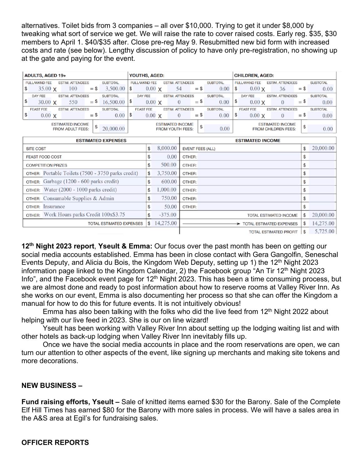alternatives. Toilet bids from 3 companies – all over \$10,000. Trying to get it under \$8,000 by tweaking what sort of service we get. We will raise the rate to cover raised costs. Early reg. \$35, \$30 members to April 1. \$40/\$35 after. Close pre-reg May 9. Resubmitted new bid form with increased costs and rate (see below). Lengthy discussion of policy to have only pre-registration, no showing up at the gate and paying for the event.

| ADULTS, AGED 19+                                                   |                                                              |  |     |                                                                    |                                                              | YOUTHS, AGED: |               |  |                                                 |        |  |                                           | <b>CHILDREN, AGED:</b> |               |    |                 |      |
|--------------------------------------------------------------------|--------------------------------------------------------------|--|-----|--------------------------------------------------------------------|--------------------------------------------------------------|---------------|---------------|--|-------------------------------------------------|--------|--|-------------------------------------------|------------------------|---------------|----|-----------------|------|
| <b>ESTIM. ATTENDEES</b><br><b>FULL/WKND FEE</b><br><b>SUBTOTAL</b> |                                                              |  |     | <b>FULL/WKND FEE</b><br><b>SUBTOTAL</b><br><b>ESTIM. ATTENDEES</b> |                                                              |               |               |  | <b>ESTIM. ATTENDEES</b><br><b>FULL/WKND FEE</b> |        |  |                                           | <b>SUBTOTAL</b>        |               |    |                 |      |
|                                                                    | $35.00 \times$                                               |  | 100 | $=$ \$                                                             | 3,500.00                                                     | \$            | $0.00 \times$ |  | 54                                              | $=$ \$ |  | 0.00                                      | 1\$                    | $0.00 \times$ | 36 | $=$ \$          | 0.00 |
|                                                                    | <b>DAY FEE</b><br><b>ESTIM. ATTENDEES</b><br><b>SUBTOTAL</b> |  |     |                                                                    | <b>DAY FEE</b><br><b>ESTIM. ATTENDEES</b><br><b>SUBTOTAL</b> |               |               |  |                                                 |        |  | <b>DAY FEE</b><br><b>ESTIM. ATTENDEES</b> |                        |               |    | <b>SUBTOTAL</b> |      |
| S                                                                  | $30.00 \times$                                               |  | 550 | $=$ \$                                                             | 16,500.00                                                    | \$            | $0.00 \times$ |  | $\Omega$                                        | $=$ \$ |  | 0.00                                      | l \$                   | $0.00 \times$ |    | $=$ \$          | 0.00 |
| <b>FEAST FEE</b><br><b>ESTIM. ATTENDEES</b><br><b>SUBTOTAL</b>     |                                                              |  |     | <b>FEAST FEE</b><br><b>ESTIM. ATTENDEES</b><br><b>SUBTOTAL</b>     |                                                              |               |               |  | <b>FEAST FEE</b><br><b>ESTIM. ATTENDEES</b>     |        |  |                                           | <b>SUBTOTAL</b>        |               |    |                 |      |
|                                                                    | $0.00 \times$                                                |  |     | $=$ \$                                                             | 0.00                                                         | \$            | $0.00 \times$ |  | $\theta$                                        | $=$ \$ |  | 0.00                                      | \$                     | $0.00 \times$ |    | $=$ \$          | 0.00 |
| <b>ESTIMATED INCOME</b>                                            |                                                              |  |     |                                                                    | <b>ESTIMATED INCOME</b>                                      |               |               |  |                                                 |        |  | <b>ESTIMATED INCOME</b>                   |                        |               |    |                 |      |
| 20,000.00<br><b>FROM ADULT FEES:</b>                               |                                                              |  |     | \$<br>0.00<br><b>FROM YOUTH FEES:</b>                              |                                                              |               |               |  | \$<br><b>FROM CHILDREN FEES:</b>                |        |  |                                           | 0.00                   |               |    |                 |      |

| <b>ESTIMATED EXPENSES</b>                                 |    | <b>ESTIMATED INCOME</b> |                                 |                               |    |           |
|-----------------------------------------------------------|----|-------------------------|---------------------------------|-------------------------------|----|-----------|
| <b>SITE COST</b>                                          | \$ | 8,000.00                | <b>EVENT FEES (ALL)</b>         |                               |    | 20,000.00 |
| <b>FEAST FOOD COST</b>                                    | \$ | 0.00                    | OTHER:                          |                               | \$ |           |
| <b>COMPETITION PRIZES</b>                                 | \$ | 500.00                  | OTHER:                          |                               | \$ |           |
| <b>OTHER:</b> Portable Toilets (7500 - 3750 parks credit) | \$ | 3,750.00                | OTHER:                          |                               | \$ |           |
| OTHER: Garbage (1200 - 600 parks credit)                  | \$ | 600.00                  | OTHER:                          |                               | \$ |           |
| OTHER: Water (2000 - 1000 parks credit)                   | \$ | 1,000.00                | OTHER:                          |                               | \$ |           |
| OTHER: Consumable Supplies & Admin                        | \$ | 750.00                  | OTHER:                          |                               | \$ |           |
| <b>OTHER:</b> Insurance                                   |    | 50.00                   | OTHER:                          |                               |    |           |
| OTHER: Work Hours parks Credit 100x\$3.75                 |    | $-375.00$               |                                 | <b>TOTAL ESTIMATED INCOME</b> | \$ | 20,000.00 |
| <b>TOTAL ESTIMATED EXPENSES</b>                           | \$ | 14,275.00               | <b>TOTAL ESTIMATED EXPENSES</b> |                               |    | 14,275.00 |
|                                                           |    |                         | <b>TOTAL ESTIMATED PROFIT</b>   |                               |    | 5,725.00  |

**12th Night 2023 report**, **Yseult & Emma:** Our focus over the past month has been on getting our social media accounts established. Emma has been in close contact with Gera Gangolfin, Seneschal Events Deputy, and Alicia du Bois, the Kingdom Web Deputy, setting up 1) the 12<sup>th</sup> Night 2023 information page linked to the Kingdom Calendar, 2) the Facebook group "An Tir 12<sup>th</sup> Night 2023 Info", and the Facebook event page for 12<sup>th</sup> Night 2023. This has been a time consuming process, but we are almost done and ready to post information about how to reserve rooms at Valley River Inn. As she works on our event, Emma is also documenting her process so that she can offer the Kingdom a manual for how to do this for future events. It is not intuitively obvious!

Emma has also been talking with the folks who did the live feed from  $12<sup>th</sup>$  Night 2022 about helping with our live feed in 2023. She is our on line wizard!

Yseult has been working with Valley River Inn about setting up the lodging waiting list and with other hotels as back-up lodging when Valley River Inn inevitably fills up.

Once we have the social media accounts in place and the room reservations are open, we can turn our attention to other aspects of the event, like signing up merchants and making site tokens and more decorations.

#### **NEW BUSINESS –**

**Fund raising efforts, Yseult –** Sale of knitted items earned \$30 for the Barony. Sale of the Complete Elf Hill Times has earned \$80 for the Barony with more sales in process. We will have a sales area in the A&S area at Egil's for fundraising sales.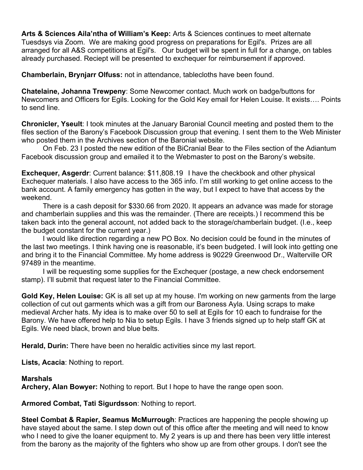**Arts & Sciences Aila'ntha of William's Keep:** Arts & Sciences continues to meet alternate Tuesdsys via Zoom. We are making good progress on preparations for Egil's. Prizes are all arranged for all A&S competitions at Egil's. Our budget will be spent in full for a change, on tables already purchased. Reciept will be presented to exchequer for reimbursement if approved.

**Chamberlain, Brynjarr Olfuss:** not in attendance, tablecloths have been found.

**Chatelaine, Johanna Trewpeny**: Some Newcomer contact. Much work on badge/buttons for Newcomers and Officers for Egils. Looking for the Gold Key email for Helen Louise. It exists…. Points to send line.

**Chronicler, Yseult**: I took minutes at the January Baronial Council meeting and posted them to the files section of the Barony's Facebook Discussion group that evening. I sent them to the Web Minister who posted them in the Archives section of the Baronial website.

On Feb. 23 I posted the new edition of the BiCranial Bear to the Files section of the Adiantum Facebook discussion group and emailed it to the Webmaster to post on the Barony's website.

**Exchequer, Asgerdr**: Current balance: \$11,808.19 I have the checkbook and other physical Exchequer materials. I also have access to the 365 info. I'm still working to get online access to the bank account. A family emergency has gotten in the way, but I expect to have that access by the weekend.

There is a cash deposit for \$330.66 from 2020. It appears an advance was made for storage and chamberlain supplies and this was the remainder. (There are receipts.) I recommend this be taken back into the general account, not added back to the storage/chamberlain budget. (I.e., keep the budget constant for the current year.)

I would like direction regarding a new PO Box. No decision could be found in the minutes of the last two meetings. I think having one is reasonable, it's been budgeted. I will look into getting one and bring it to the Financial Committee. My home address is 90229 Greenwood Dr., Walterville OR 97489 in the meantime.

I will be requesting some supplies for the Exchequer (postage, a new check endorsement stamp). I'll submit that request later to the Financial Committee.

**Gold Key, Helen Louise:** GK is all set up at my house. I'm working on new garments from the large collection of cut out garments which was a gift from our Baroness Ayla. Using scraps to make medieval Archer hats. My idea is to make over 50 to sell at Egils for 10 each to fundraise for the Barony. We have offered help to Nia to setup Egils. I have 3 friends signed up to help staff GK at Egils. We need black, brown and blue belts.

**Herald, Durin:** There have been no heraldic activities since my last report.

**Lists, Acacia**: Nothing to report.

#### **Marshals**

**Archery, Alan Bowyer:** Nothing to report. But I hope to have the range open soon.

**Armored Combat, Tati Sigurdsson**: Nothing to report.

**Steel Combat & Rapier, Seamus McMurrough**: Practices are happening the people showing up have stayed about the same. I step down out of this office after the meeting and will need to know who I need to give the loaner equipment to. My 2 years is up and there has been very little interest from the barony as the majority of the fighters who show up are from other groups. I don't see the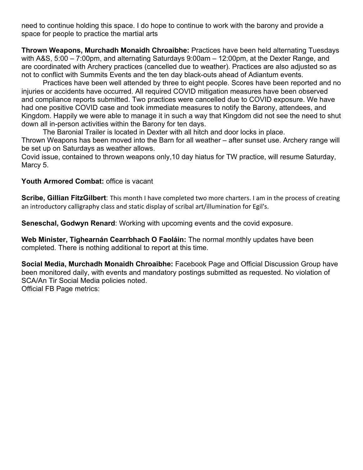need to continue holding this space. I do hope to continue to work with the barony and provide a space for people to practice the martial arts

**Thrown Weapons, Murchadh Monaidh Chroaibhe:** Practices have been held alternating Tuesdays with A&S, 5:00 – 7:00pm, and alternating Saturdays 9:00am – 12:00pm, at the Dexter Range, and are coordinated with Archery practices (cancelled due to weather). Practices are also adjusted so as not to conflict with Summits Events and the ten day black-outs ahead of Adiantum events.

Practices have been well attended by three to eight people. Scores have been reported and no injuries or accidents have occurred. All required COVID mitigation measures have been observed and compliance reports submitted. Two practices were cancelled due to COVID exposure. We have had one positive COVID case and took immediate measures to notify the Barony, attendees, and Kingdom. Happily we were able to manage it in such a way that Kingdom did not see the need to shut down all in-person activities within the Barony for ten days.

The Baronial Trailer is located in Dexter with all hitch and door locks in place. Thrown Weapons has been moved into the Barn for all weather – after sunset use. Archery range will be set up on Saturdays as weather allows.

Covid issue, contained to thrown weapons only,10 day hiatus for TW practice, will resume Saturday, Marcy 5.

## **Youth Armored Combat:** office is vacant

**Scribe, Gillian FitzGilbert**: This month I have completed two more charters. I am in the process of creating an introductory calligraphy class and static display of scribal art/illumination for Egil's.

**Seneschal, Godwyn Renard**: Working with upcoming events and the covid exposure.

**Web Minister, Tighearnán Cearrbhach O Faoláin:** The normal monthly updates have been completed. There is nothing additional to report at this time.

**Social Media, Murchadh Monaidh Chroaibhe:** Facebook Page and Official Discussion Group have been monitored daily, with events and mandatory postings submitted as requested. No violation of SCA/An Tir Social Media policies noted. Official FB Page metrics: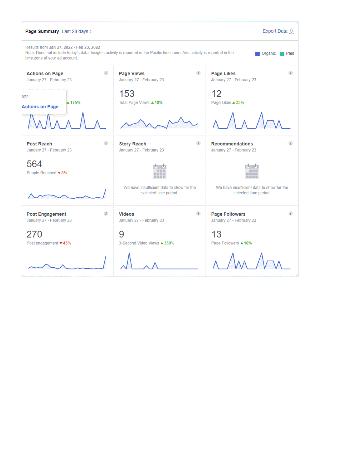| Export Data &<br>Page Summary Last 28 days $*$                                                                                                                                                                               |                                                                    |                                                                    |  |  |  |  |  |  |  |  |  |
|------------------------------------------------------------------------------------------------------------------------------------------------------------------------------------------------------------------------------|--------------------------------------------------------------------|--------------------------------------------------------------------|--|--|--|--|--|--|--|--|--|
| Results from Jan 27, 2022 - Feb 23, 2022<br>Note: Does not include today's data. Insights activity is reported in the Pacific time zone. Ads activity is reported in the<br>Paid<br>Organic<br>time zone of your ad account. |                                                                    |                                                                    |  |  |  |  |  |  |  |  |  |
| G)<br><b>Actions on Page</b><br>January 27 - February 23                                                                                                                                                                     | 61<br>Page Views<br>January 27 - February 23                       | Ø3<br>Page Likes<br>January 27 - February 23                       |  |  |  |  |  |  |  |  |  |
| 022<br>▲ 175%<br><b>Actions on Page</b>                                                                                                                                                                                      | 153<br>Total Page Views 418%                                       | 12<br>Page Likes $\triangle$ 33%                                   |  |  |  |  |  |  |  |  |  |
|                                                                                                                                                                                                                              |                                                                    |                                                                    |  |  |  |  |  |  |  |  |  |
| di.<br><b>Post Reach</b><br>January 27 - February 23                                                                                                                                                                         | œ<br><b>Story Reach</b><br>January 27 - February 23                | <b>Recommendations</b><br>January 27 - February 23                 |  |  |  |  |  |  |  |  |  |
| 564<br>People Reached ▼8%                                                                                                                                                                                                    |                                                                    | 0 999 996 91                                                       |  |  |  |  |  |  |  |  |  |
|                                                                                                                                                                                                                              | We have insufficient data to show for the<br>selected time period. | We have insufficient data to show for the<br>selected time period. |  |  |  |  |  |  |  |  |  |
| ₫ð.<br><b>Post Engagement</b><br>January 27 - February 23                                                                                                                                                                    | đö.<br><b>Videos</b><br>January 27 - February 23                   | œ.<br><b>Page Followers</b><br>January 27 - February 23            |  |  |  |  |  |  |  |  |  |
| 270<br>Post engagement ▼45%                                                                                                                                                                                                  | 9<br>3-Second Video Views ▲ 350%                                   | 13<br>Page Followers ▲ 18%                                         |  |  |  |  |  |  |  |  |  |
|                                                                                                                                                                                                                              |                                                                    |                                                                    |  |  |  |  |  |  |  |  |  |